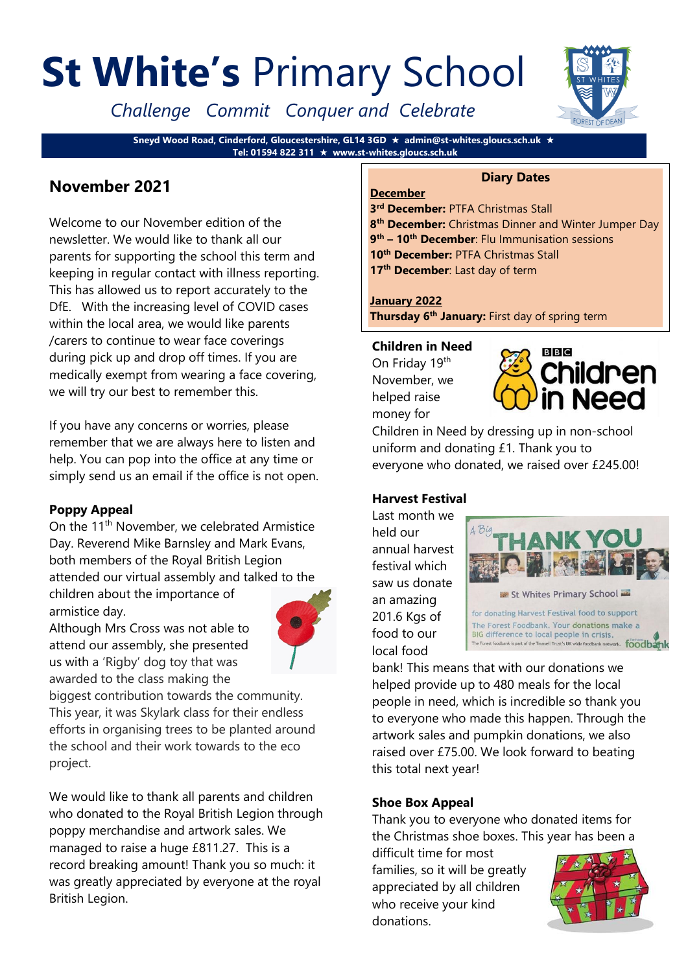# **St White's** Primary School

*Challenge Commit Conquer and Celebrate*

**Sneyd Wood Road, Cinderford, Gloucestershire, GL14 3GD admin@st-whites.gloucs.sch.uk Tel: 01594 822 311 www.st-whites.gloucs.sch.uk**

# **November 2021**

Welcome to our November edition of the newsletter. We would like to thank all our parents for supporting the school this term and keeping in regular contact with illness reporting. This has allowed us to report accurately to the DfE. With the increasing level of COVID cases within the local area, we would like parents /carers to continue to wear face coverings during pick up and drop off times. If you are medically exempt from wearing a face covering, we will try our best to remember this.

If you have any concerns or worries, please remember that we are always here to listen and help. You can pop into the office at any time or simply send us an email if the office is not open.

# **Poppy Appeal**

On the 11<sup>th</sup> November, we celebrated Armistice Day. Reverend Mike Barnsley and Mark Evans, both members of the Royal British Legion attended our virtual assembly and talked to the

children about the importance of armistice day.



Although Mrs Cross was not able to attend our assembly, she presented us with a 'Rigby' dog toy that was awarded to the class making the

biggest contribution towards the community. This year, it was Skylark class for their endless efforts in organising trees to be planted around the school and their work towards to the eco project.

We would like to thank all parents and children who donated to the Royal British Legion through poppy merchandise and artwork sales. We managed to raise a huge £811.27. This is a record breaking amount! Thank you so much: it was greatly appreciated by everyone at the royal British Legion.



#### **Diary Dates**

 **rd December:** PTFA Christmas Stall **th December:** Christmas Dinner and Winter Jumper Day **th – 10th December**: Flu Immunisation sessions **th December:** PTFA Christmas Stall **th December**: Last day of term

#### **January 2022**

**December**

**Thursday 6th January:** First day of spring term

**Children in Need** On Friday 19th November, we helped raise

money for



Children in Need by dressing up in non-school uniform and donating £1. Thank you to everyone who donated, we raised over £245.00!

# **Harvest Festival**

Last month we held our annual harvest festival which saw us donate an amazing 201.6 Kgs of food to our local food



bank! This means that with our donations we helped provide up to 480 meals for the local people in need, which is incredible so thank you to everyone who made this happen. Through the artwork sales and pumpkin donations, we also raised over £75.00. We look forward to beating this total next year!

# **Shoe Box Appeal**

Thank you to everyone who donated items for the Christmas shoe boxes. This year has been a

difficult time for most families, so it will be greatly appreciated by all children who receive your kind donations.

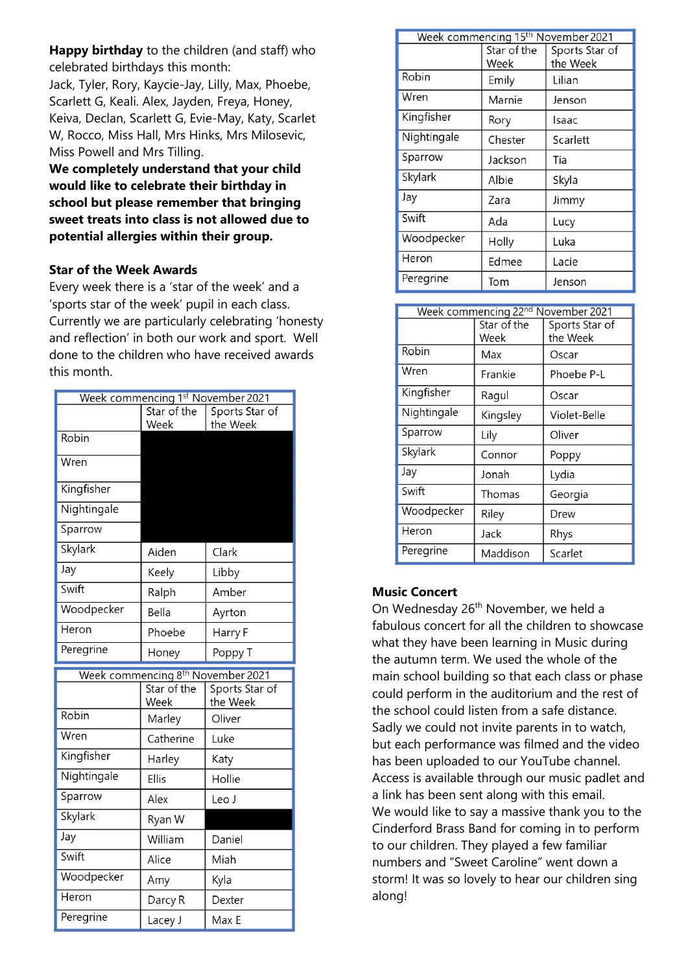**Happy birthday** to the children (and staff) who celebrated birthdays this month:

Jack, Tyler, Rory, Kaycie-Jay, Lilly, Max, Phoebe, Scarlett G, Keali. Alex, Jayden, Freya, Honey, Keiva, Declan, Scarlett G, Evie-May, Katy, Scarlet W, Rocco, Miss Hall, Mrs Hinks, Mrs Milosevic, Miss Powell and Mrs Tilling.

**We completely understand that your child would like to celebrate their birthday in school but please remember that bringing sweet treats into class is not allowed due to potential allergies within their group.** 

#### **Star of the Week Awards**

Every week there is a 'star of the week' and a 'sports star of the week' pupil in each class. Currently we are particularly celebrating 'honesty and reflection' in both our work and sport. Well done to the children who have received awards this month.

| Week commencing 1st November 2021 |                                               |                    |  |
|-----------------------------------|-----------------------------------------------|--------------------|--|
|                                   | Star of the                                   | Sports Star of     |  |
|                                   | Week                                          | the Week           |  |
| Robin                             |                                               |                    |  |
| Wren                              |                                               |                    |  |
| Kingfisher                        |                                               |                    |  |
| Nightingale                       |                                               |                    |  |
| Sparrow                           |                                               |                    |  |
| Skylark                           | Aiden                                         | Clark              |  |
| Jay                               | Keely                                         | Libby              |  |
| Swift                             | Ralph                                         | Amber              |  |
| Woodpecker                        | Bella                                         | Ayrton             |  |
| Heron                             | Phoebe                                        | Harry F            |  |
| Peregrine                         | Honey                                         | Poppy T            |  |
|                                   |                                               |                    |  |
|                                   | Week commencing 8 <sup>th</sup> November 2021 |                    |  |
|                                   | Star of the<br>Week                           | Sports Star of     |  |
| Robin                             | Marley                                        | the Week<br>Oliver |  |
| Wren                              | Catherine                                     | Luke               |  |
| Kingfisher                        | Harley                                        | Katy               |  |
| Nightingale                       | Ellis                                         | Hollie             |  |
| Sparrow                           | Alex                                          | Leo J              |  |
| Skylark                           | Ryan W                                        |                    |  |
| Jay                               | William                                       | Daniel             |  |
| Swift                             | Alice                                         | Miah               |  |
| Woodpecker                        | Amy                                           | Kyla               |  |
| Heron                             | Darcy R                                       | Dexter             |  |

| Week commencing 15 <sup>th</sup> November 2021 |             |                |  |
|------------------------------------------------|-------------|----------------|--|
|                                                | Star of the | Sports Star of |  |
|                                                | Week        | the Week       |  |
| Robin                                          | Emily       | Lilian         |  |
| Wren                                           | Marnie      | Jenson         |  |
| Kingfisher                                     | Rory        | Isaac          |  |
| Nightingale                                    | Chester     | Scarlett       |  |
| Sparrow                                        | Jackson     | Tia            |  |
| Skylark                                        | Albie       | Skyla          |  |
| Jay                                            | Zara        | Jimmy          |  |
| Swift                                          | Ada         | Lucy           |  |
| Woodpecker                                     | Holly       | Luka           |  |
| Heron                                          | Edmee       | Lacie          |  |
| Peregrine                                      | Tom         | Jenson         |  |

| Week commencing 22 <sup>nd</sup> November 2021 |                     |                            |  |  |
|------------------------------------------------|---------------------|----------------------------|--|--|
|                                                | Star of the<br>Week | Sports Star of<br>the Week |  |  |
| Robin                                          | Max                 | Oscar                      |  |  |
| Wren                                           | Frankie             | Phoebe P-L                 |  |  |
| Kingfisher                                     | Ragul               | Oscar                      |  |  |
| Nightingale                                    | Kingsley            | Violet-Belle               |  |  |
| Sparrow                                        | Lily                | Oliver                     |  |  |
| Skylark                                        | Connor              | Poppy                      |  |  |
| Jay                                            | Jonah               | Lydia                      |  |  |
| Swift                                          | Thomas              | Georgia                    |  |  |
| Woodpecker                                     | Riley               | Drew                       |  |  |
| Heron                                          | Jack                | Rhys                       |  |  |
| Peregrine                                      | Maddison            | Scarlet                    |  |  |

# **Music Concert**

On Wednesday 26<sup>th</sup> November, we held a fabulous concert for all the children to showcase what they have been learning in Music during the autumn term. We used the whole of the main school building so that each class or phase could perform in the auditorium and the rest of the school could listen from a safe distance. Sadly we could not invite parents in to watch, but each performance was filmed and the video has been uploaded to our YouTube channel. Access is available through our music padlet and a link has been sent along with this email. We would like to say a massive thank you to the Cinderford Brass Band for coming in to perform to our children. They played a few familiar numbers and "Sweet Caroline" went down a storm! It was so lovely to hear our children sing along!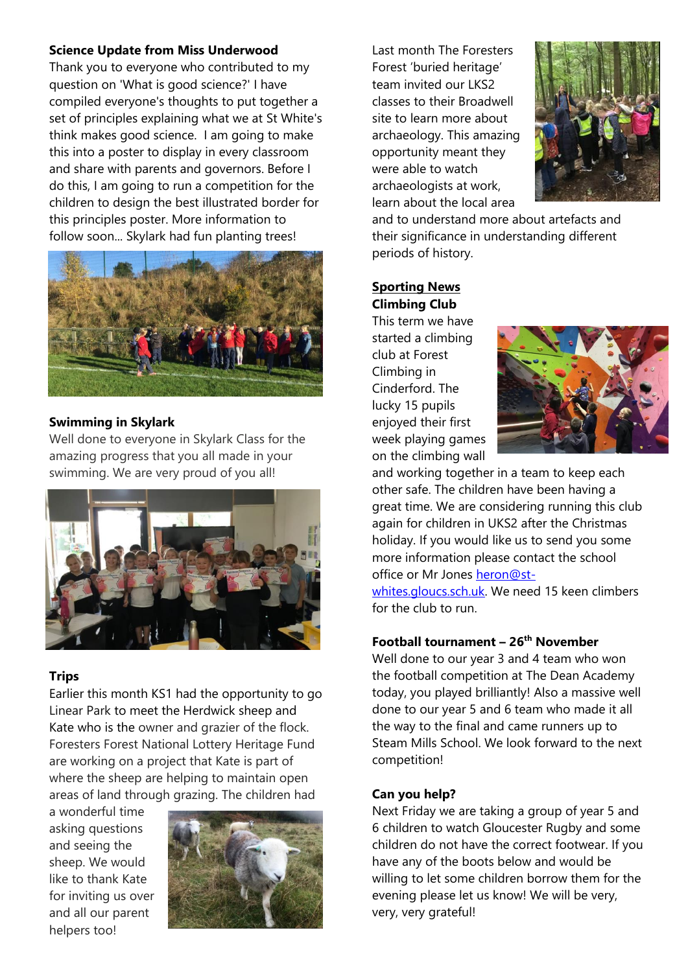# **Science Update from Miss Underwood**

Thank you to everyone who contributed to my question on 'What is good science?' I have compiled everyone's thoughts to put together a set of principles explaining what we at St White's think makes good science. I am going to make this into a poster to display in every classroom and share with parents and governors. Before I do this, I am going to run a competition for the children to design the best illustrated border for this principles poster. More information to follow soon... Skylark had fun planting trees!



# **Swimming in Skylark**

Well done to everyone in Skylark Class for the amazing progress that you all made in your swimming. We are very proud of you all!



# **Trips**

Earlier this month KS1 had the opportunity to go Linear Park to meet the Herdwick sheep and Kate who is the owner and grazier of the flock. Foresters Forest National Lottery Heritage Fund are working on a project that Kate is part of where the sheep are helping to maintain open areas of land through grazing. The children had

a wonderful time asking questions and seeing the sheep. We would like to thank Kate for inviting us over and all our parent helpers too!



Last month The Foresters Forest 'buried heritage' team invited our LKS2 classes to their Broadwell site to learn more about archaeology. This amazing opportunity meant they were able to watch archaeologists at work, learn about the local area



and to understand more about artefacts and their significance in understanding different periods of history.

# **Sporting News Climbing Club**

This term we have started a climbing club at Forest Climbing in Cinderford. The lucky 15 pupils enjoyed their first week playing games on the climbing wall



and working together in a team to keep each other safe. The children have been having a great time. We are considering running this club again for children in UKS2 after the Christmas holiday. If you would like us to send you some more information please contact the school office or Mr Jones [heron@st-](mailto:heron@st-whites.gloucs.sch.uk)

[whites.gloucs.sch.uk.](mailto:heron@st-whites.gloucs.sch.uk) We need 15 keen climbers for the club to run.

# **Football tournament – 26th November**

Well done to our year 3 and 4 team who won the football competition at The Dean Academy today, you played brilliantly! Also a massive well done to our year 5 and 6 team who made it all the way to the final and came runners up to Steam Mills School. We look forward to the next competition!

#### **Can you help?**

Next Friday we are taking a group of year 5 and 6 children to watch Gloucester Rugby and some children do not have the correct footwear. If you have any of the boots below and would be willing to let some children borrow them for the evening please let us know! We will be very, very, very grateful!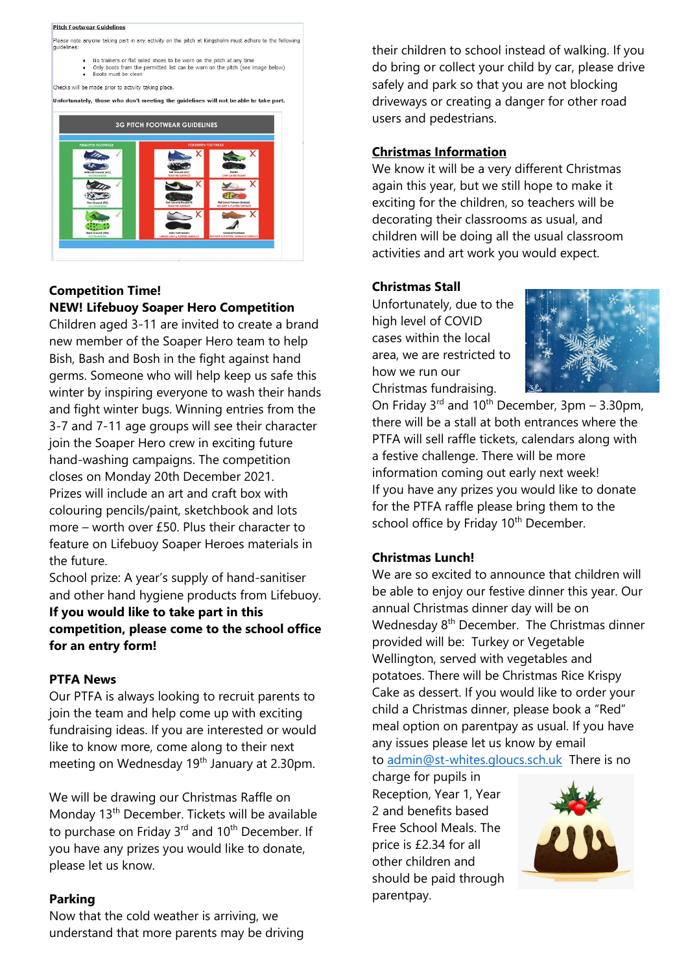#### **Pitch Footwear Guidelines**

Please note anyone taking part in any activity on the pitch at Kingsholm must adhere to the following quidelines

- No trainers or flat soled shoes to be worn on the pitch at any time<br>• Only boots from the permitted list can be worn on the pitch (see image below)<br>• Boots must be clean
- 

Checks will be made prior to activity taking place

Unfortunately, those who don't meeting the guidelines will not be able to take part.



#### **Competition Time! NEW! Lifebuoy Soaper Hero Competition**

Children aged 3-11 are invited to create a brand new member of the Soaper Hero team to help Bish, Bash and Bosh in the fight against hand germs. Someone who will help keep us safe this winter by inspiring everyone to wash their hands and fight winter bugs. Winning entries from the 3-7 and 7-11 age groups will see their character join the Soaper Hero crew in exciting future hand-washing campaigns. The competition closes on Monday 20th December 2021. Prizes will include an art and craft box with colouring pencils/paint, sketchbook and lots more – worth over £50. Plus their character to feature on Lifebuoy Soaper Heroes materials in the future.

School prize: A year's supply of hand-sanitiser and other hand hygiene products from Lifebuoy.

**If you would like to take part in this competition, please come to the school office for an entry form!**

#### **PTFA News**

Our PTFA is always looking to recruit parents to join the team and help come up with exciting fundraising ideas. If you are interested or would like to know more, come along to their next meeting on Wednesday 19<sup>th</sup> January at 2.30pm.

We will be drawing our Christmas Raffle on Monday 13<sup>th</sup> December. Tickets will be available to purchase on Friday  $3^{rd}$  and  $10^{th}$  December. If you have any prizes you would like to donate, please let us know.

#### **Parking**

Now that the cold weather is arriving, we understand that more parents may be driving their children to school instead of walking. If you do bring or collect your child by car, please drive safely and park so that you are not blocking driveways or creating a danger for other road users and pedestrians.

#### **Christmas Information**

We know it will be a very different Christmas again this year, but we still hope to make it exciting for the children, so teachers will be decorating their classrooms as usual, and children will be doing all the usual classroom activities and art work you would expect.

#### **Christmas Stall**

Unfortunately, due to the high level of COVID cases within the local area, we are restricted to how we run our Christmas fundraising.



On Friday  $3^{rd}$  and  $10^{th}$  December,  $3pm - 3.30pm$ , there will be a stall at both entrances where the PTFA will sell raffle tickets, calendars along with a festive challenge. There will be more information coming out early next week! If you have any prizes you would like to donate for the PTFA raffle please bring them to the school office by Friday 10<sup>th</sup> December.

#### **Christmas Lunch!**

We are so excited to announce that children will be able to enjoy our festive dinner this year. Our annual Christmas dinner day will be on Wednesday 8<sup>th</sup> December. The Christmas dinner provided will be: Turkey or Vegetable Wellington, served with vegetables and potatoes. There will be Christmas Rice Krispy Cake as dessert. If you would like to order your child a Christmas dinner, please book a "Red" meal option on parentpay as usual. If you have any issues please let us know by email to [admin@st-whites.gloucs.sch.uk](mailto:admin@st-whites.gloucs.sch.uk) There is no

charge for pupils in Reception, Year 1, Year 2 and benefits based Free School Meals. The price is £2.34 for all other children and should be paid through parentpay.